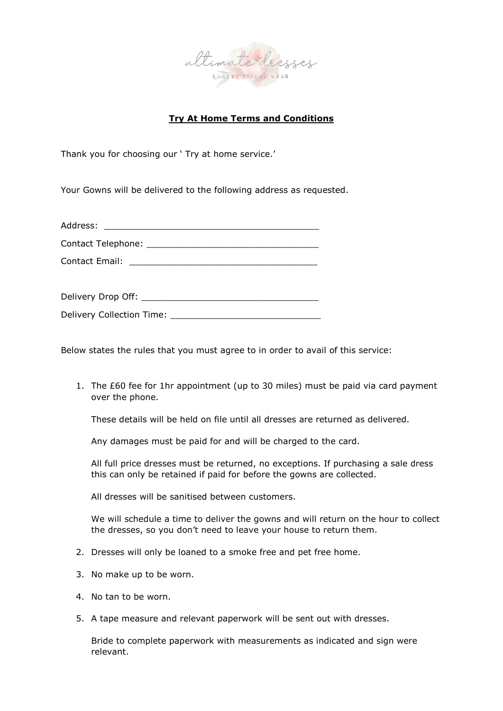

## **Try At Home Terms and Conditions**

Thank you for choosing our ' Try at home service.'

Your Gowns will be delivered to the following address as requested.

| Address: |  |
|----------|--|
|          |  |

Contact Telephone:

Contact Email: \_\_\_\_\_\_\_\_\_\_\_\_\_\_\_\_\_\_\_\_\_\_\_\_\_\_\_\_\_\_\_\_\_\_\_

| Delivery Drop Off: |  |
|--------------------|--|
|                    |  |

| Delivery Collection Time: |  |
|---------------------------|--|
|                           |  |

Below states the rules that you must agree to in order to avail of this service:

1. The £60 fee for 1hr appointment (up to 30 miles) must be paid via card payment over the phone.

These details will be held on file until all dresses are returned as delivered.

Any damages must be paid for and will be charged to the card.

All full price dresses must be returned, no exceptions. If purchasing a sale dress this can only be retained if paid for before the gowns are collected.

All dresses will be sanitised between customers.

We will schedule a time to deliver the gowns and will return on the hour to collect the dresses, so you don't need to leave your house to return them.

- 2. Dresses will only be loaned to a smoke free and pet free home.
- 3. No make up to be worn.
- 4. No tan to be worn.
- 5. A tape measure and relevant paperwork will be sent out with dresses.

Bride to complete paperwork with measurements as indicated and sign were relevant.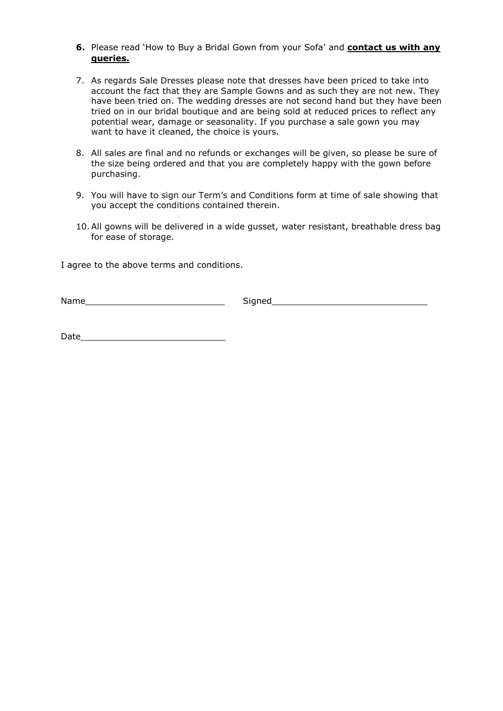- **6.** Please read 'How to Buy a Bridal Gown from your Sofa' and **contact us with any queries.**
- 7. As regards Sale Dresses please note that dresses have been priced to take into account the fact that they are Sample Gowns and as such they are not new. They have been tried on. The wedding dresses are not second hand but they have been tried on in our bridal boutique and are being sold at reduced prices to reflect any potential wear, damage or seasonality. If you purchase a sale gown you may want to have it cleaned, the choice is yours.
- 8. All sales are final and no refunds or exchanges will be given, so please be sure of the size being ordered and that you are completely happy with the gown before purchasing.
- 9. You will have to sign our Term's and Conditions form at time of sale showing that you accept the conditions contained therein.
- 10.All gowns will be delivered in a wide gusset, water resistant, breathable dress bag for ease of storage.

I agree to the above terms and conditions.

Name\_\_\_\_\_\_\_\_\_\_\_\_\_\_\_\_\_\_\_\_\_\_\_\_\_\_ Signed\_\_\_\_\_\_\_\_\_\_\_\_\_\_\_\_\_\_\_\_\_\_\_\_\_\_\_\_\_

Date\_\_\_\_\_\_\_\_\_\_\_\_\_\_\_\_\_\_\_\_\_\_\_\_\_\_\_